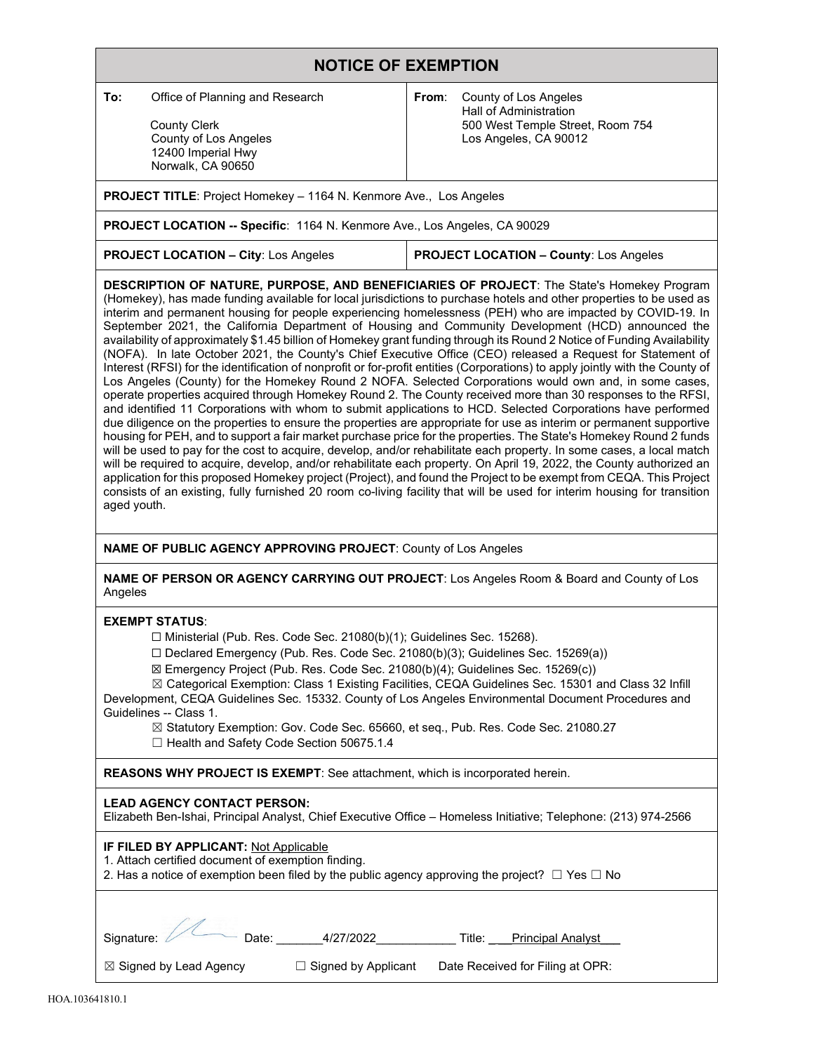# **NOTICE OF EXEMPTION**

**To:** Office of Planning and Research

 County Clerk County of Los Angeles 12400 Imperial Hwy Norwalk, CA 90650

**From**: County of Los Angeles Hall of Administration 500 West Temple Street, Room 754 Los Angeles, CA 90012

**PROJECT TITLE**: Project Homekey – 1164 N. Kenmore Ave., Los Angeles

**PROJECT LOCATION -- Specific**: 1164 N. Kenmore Ave., Los Angeles, CA 90029

**PROJECT LOCATION – City**: Los Angeles **PROJECT LOCATION – County**: Los Angeles

**DESCRIPTION OF NATURE, PURPOSE, AND BENEFICIARIES OF PROJECT**: The State's Homekey Program (Homekey), has made funding available for local jurisdictions to purchase hotels and other properties to be used as interim and permanent housing for people experiencing homelessness (PEH) who are impacted by COVID-19. In September 2021, the California Department of Housing and Community Development (HCD) announced the availability of approximately \$1.45 billion of Homekey grant funding through its Round 2 Notice of Funding Availability (NOFA). In late October 2021, the County's Chief Executive Office (CEO) released a Request for Statement of Interest (RFSI) for the identification of nonprofit or for-profit entities (Corporations) to apply jointly with the County of Los Angeles (County) for the Homekey Round 2 NOFA. Selected Corporations would own and, in some cases, operate properties acquired through Homekey Round 2. The County received more than 30 responses to the RFSI, and identified 11 Corporations with whom to submit applications to HCD. Selected Corporations have performed due diligence on the properties to ensure the properties are appropriate for use as interim or permanent supportive housing for PEH, and to support a fair market purchase price for the properties. The State's Homekey Round 2 funds will be used to pay for the cost to acquire, develop, and/or rehabilitate each property. In some cases, a local match will be required to acquire, develop, and/or rehabilitate each property. On April 19, 2022, the County authorized an application for this proposed Homekey project (Project), and found the Project to be exempt from CEQA. This Project consists of an existing, fully furnished 20 room co-living facility that will be used for interim housing for transition aged youth.

**NAME OF PUBLIC AGENCY APPROVING PROJECT**: County of Los Angeles

**NAME OF PERSON OR AGENCY CARRYING OUT PROJECT**: Los Angeles Room & Board and County of Los Angeles

### **EXEMPT STATUS**:

☐ Ministerial (Pub. Res. Code Sec. 21080(b)(1); Guidelines Sec. 15268).

 $\Box$  Declared Emergency (Pub. Res. Code Sec. 21080(b)(3); Guidelines Sec. 15269(a))

☒ Emergency Project (Pub. Res. Code Sec. 21080(b)(4); Guidelines Sec. 15269(c))

☒ Categorical Exemption: Class 1 Existing Facilities, CEQA Guidelines Sec. 15301 and Class 32 Infill Development, CEQA Guidelines Sec. 15332. County of Los Angeles Environmental Document Procedures and Guidelines -- Class 1.

☒ Statutory Exemption: Gov. Code Sec. 65660, et seq., Pub. Res. Code Sec. 21080.27 ☐ Health and Safety Code Section 50675.1.4

**REASONS WHY PROJECT IS EXEMPT**: See attachment, which is incorporated herein.

### **LEAD AGENCY CONTACT PERSON:**

| Elizabeth Ben-Ishai, Principal Analyst, Chief Executive Office – Homeless Initiative; Telephone: (213) 974-2566 |  |
|-----------------------------------------------------------------------------------------------------------------|--|
|-----------------------------------------------------------------------------------------------------------------|--|

## **IF FILED BY APPLICANT:** Not Applicable

1. Attach certified document of exemption finding.

2. Has a notice of exemption been filed by the public agency approving the project?  $\Box$  Yes  $\Box$  No

| Signature: // Date:               | 4/27/2022                  | Title:                           | <b>Principal Analyst</b> |
|-----------------------------------|----------------------------|----------------------------------|--------------------------|
| $\boxtimes$ Signed by Lead Agency | $\Box$ Signed by Applicant | Date Received for Filing at OPR: |                          |